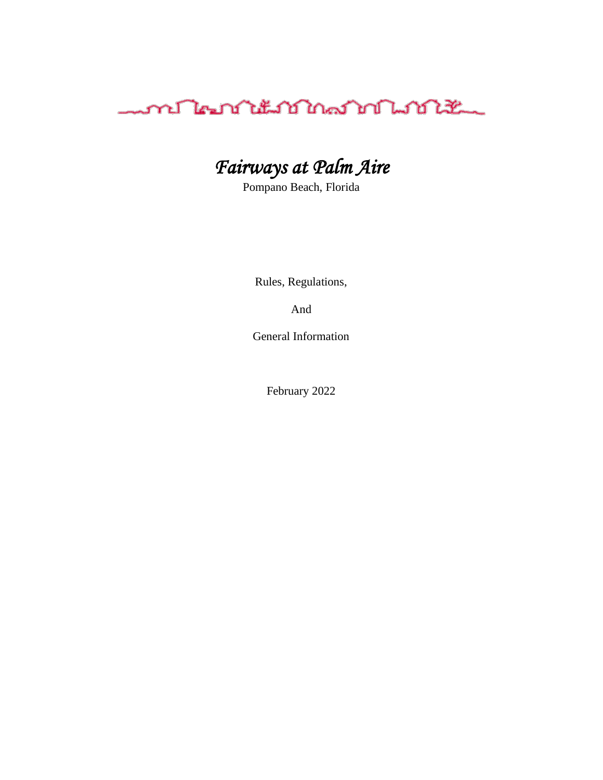

# *Fairways at Palm Aire*

Pompano Beach, Florida

Rules, Regulations,

And

General Information

February 2022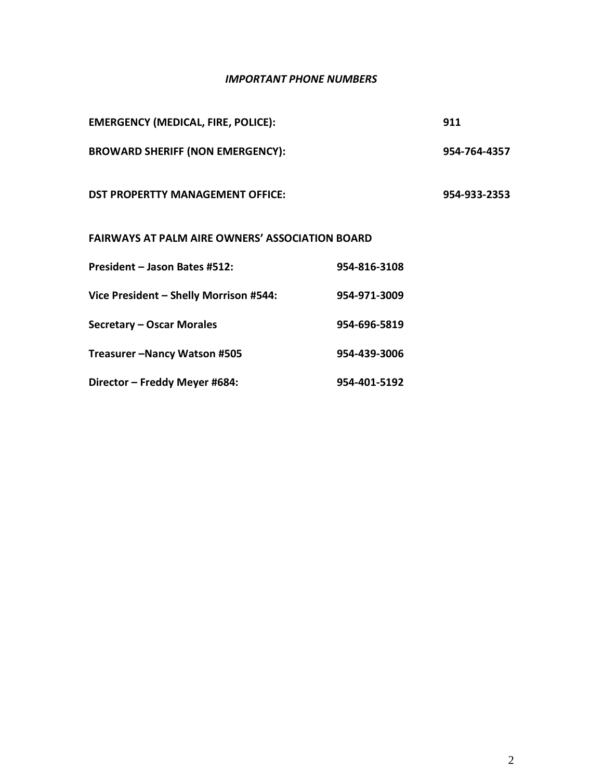#### *IMPORTANT PHONE NUMBERS*

| <b>EMERGENCY (MEDICAL, FIRE, POLICE):</b>              |              | 911          |  |  |
|--------------------------------------------------------|--------------|--------------|--|--|
| <b>BROWARD SHERIFF (NON EMERGENCY):</b>                |              | 954-764-4357 |  |  |
| <b>DST PROPERTTY MANAGEMENT OFFICE:</b>                |              | 954-933-2353 |  |  |
| <b>FAIRWAYS AT PALM AIRE OWNERS' ASSOCIATION BOARD</b> |              |              |  |  |
| President - Jason Bates #512:                          | 954-816-3108 |              |  |  |
| Vice President - Shelly Morrison #544:                 | 954-971-3009 |              |  |  |
| Secretary - Oscar Morales                              | 954-696-5819 |              |  |  |
| Treasurer-Nancy Watson #505                            | 954-439-3006 |              |  |  |
| Director - Freddy Meyer #684:                          | 954-401-5192 |              |  |  |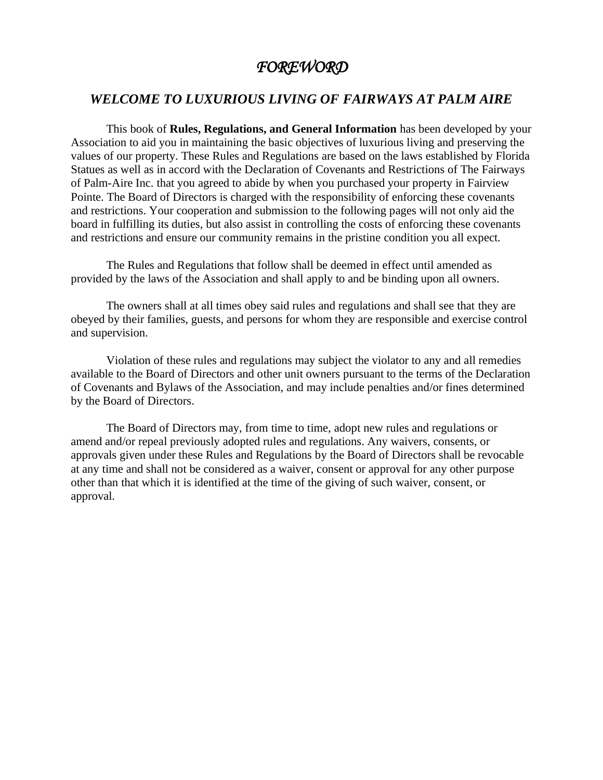#### *FOREWORD*

#### *WELCOME TO LUXURIOUS LIVING OF FAIRWAYS AT PALM AIRE*

This book of **Rules, Regulations, and General Information** has been developed by your Association to aid you in maintaining the basic objectives of luxurious living and preserving the values of our property. These Rules and Regulations are based on the laws established by Florida Statues as well as in accord with the Declaration of Covenants and Restrictions of The Fairways of Palm-Aire Inc. that you agreed to abide by when you purchased your property in Fairview Pointe. The Board of Directors is charged with the responsibility of enforcing these covenants and restrictions. Your cooperation and submission to the following pages will not only aid the board in fulfilling its duties, but also assist in controlling the costs of enforcing these covenants and restrictions and ensure our community remains in the pristine condition you all expect.

The Rules and Regulations that follow shall be deemed in effect until amended as provided by the laws of the Association and shall apply to and be binding upon all owners.

The owners shall at all times obey said rules and regulations and shall see that they are obeyed by their families, guests, and persons for whom they are responsible and exercise control and supervision.

Violation of these rules and regulations may subject the violator to any and all remedies available to the Board of Directors and other unit owners pursuant to the terms of the Declaration of Covenants and Bylaws of the Association, and may include penalties and/or fines determined by the Board of Directors.

The Board of Directors may, from time to time, adopt new rules and regulations or amend and/or repeal previously adopted rules and regulations. Any waivers, consents, or approvals given under these Rules and Regulations by the Board of Directors shall be revocable at any time and shall not be considered as a waiver, consent or approval for any other purpose other than that which it is identified at the time of the giving of such waiver, consent, or approval.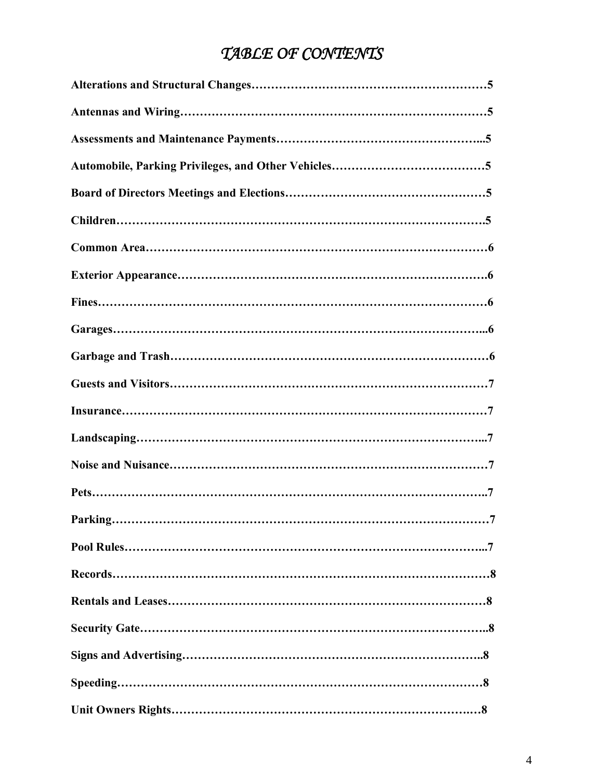# *TABLE OF CONTENTS*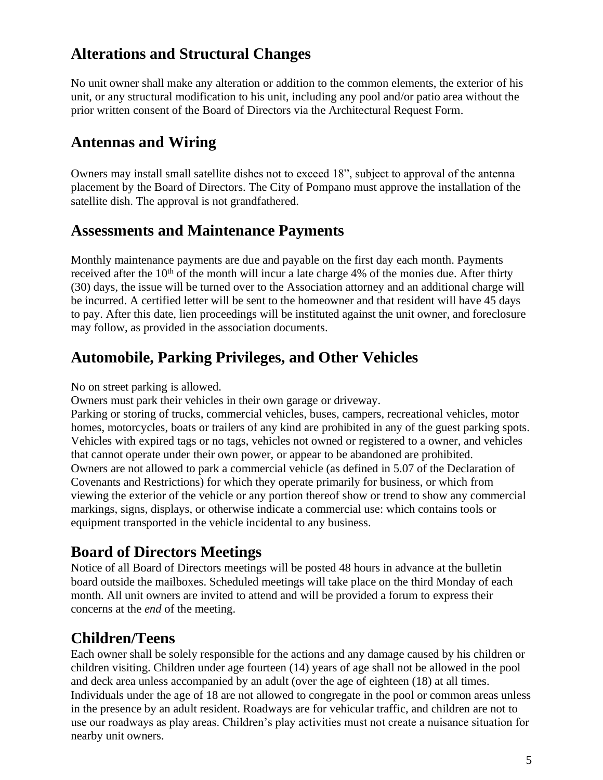#### **Alterations and Structural Changes**

No unit owner shall make any alteration or addition to the common elements, the exterior of his unit, or any structural modification to his unit, including any pool and/or patio area without the prior written consent of the Board of Directors via the Architectural Request Form.

# **Antennas and Wiring**

Owners may install small satellite dishes not to exceed 18", subject to approval of the antenna placement by the Board of Directors. The City of Pompano must approve the installation of the satellite dish. The approval is not grandfathered.

#### **Assessments and Maintenance Payments**

Monthly maintenance payments are due and payable on the first day each month. Payments received after the  $10<sup>th</sup>$  of the month will incur a late charge 4% of the monies due. After thirty (30) days, the issue will be turned over to the Association attorney and an additional charge will be incurred. A certified letter will be sent to the homeowner and that resident will have 45 days to pay. After this date, lien proceedings will be instituted against the unit owner, and foreclosure may follow, as provided in the association documents.

#### **Automobile, Parking Privileges, and Other Vehicles**

No on street parking is allowed.

Owners must park their vehicles in their own garage or driveway.

Parking or storing of trucks, commercial vehicles, buses, campers, recreational vehicles, motor homes, motorcycles, boats or trailers of any kind are prohibited in any of the guest parking spots. Vehicles with expired tags or no tags, vehicles not owned or registered to a owner, and vehicles that cannot operate under their own power, or appear to be abandoned are prohibited. Owners are not allowed to park a commercial vehicle (as defined in 5.07 of the Declaration of Covenants and Restrictions) for which they operate primarily for business, or which from viewing the exterior of the vehicle or any portion thereof show or trend to show any commercial markings, signs, displays, or otherwise indicate a commercial use: which contains tools or equipment transported in the vehicle incidental to any business.

#### **Board of Directors Meetings**

Notice of all Board of Directors meetings will be posted 48 hours in advance at the bulletin board outside the mailboxes. Scheduled meetings will take place on the third Monday of each month. All unit owners are invited to attend and will be provided a forum to express their concerns at the *end* of the meeting.

# **Children/Teens**

Each owner shall be solely responsible for the actions and any damage caused by his children or children visiting. Children under age fourteen (14) years of age shall not be allowed in the pool and deck area unless accompanied by an adult (over the age of eighteen (18) at all times. Individuals under the age of 18 are not allowed to congregate in the pool or common areas unless in the presence by an adult resident. Roadways are for vehicular traffic, and children are not to use our roadways as play areas. Children's play activities must not create a nuisance situation for nearby unit owners.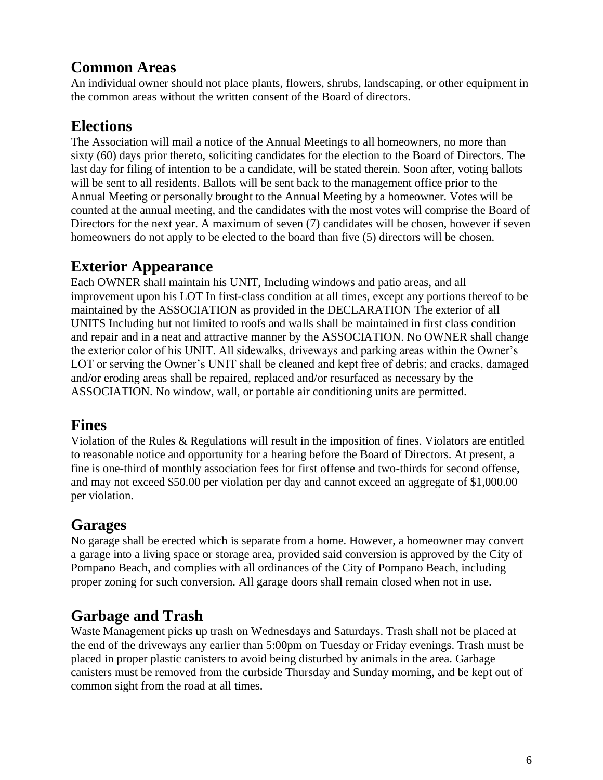#### **Common Areas**

An individual owner should not place plants, flowers, shrubs, landscaping, or other equipment in the common areas without the written consent of the Board of directors.

# **Elections**

The Association will mail a notice of the Annual Meetings to all homeowners, no more than sixty (60) days prior thereto, soliciting candidates for the election to the Board of Directors. The last day for filing of intention to be a candidate, will be stated therein. Soon after, voting ballots will be sent to all residents. Ballots will be sent back to the management office prior to the Annual Meeting or personally brought to the Annual Meeting by a homeowner. Votes will be counted at the annual meeting, and the candidates with the most votes will comprise the Board of Directors for the next year. A maximum of seven (7) candidates will be chosen, however if seven homeowners do not apply to be elected to the board than five (5) directors will be chosen.

# **Exterior Appearance**

Each OWNER shall maintain his UNIT, Including windows and patio areas, and all improvement upon his LOT In first-class condition at all times, except any portions thereof to be maintained by the ASSOCIATION as provided in the DECLARATION The exterior of all UNITS Including but not limited to roofs and walls shall be maintained in first class condition and repair and in a neat and attractive manner by the ASSOCIATION. No OWNER shall change the exterior color of his UNIT. All sidewalks, driveways and parking areas within the Owner's LOT or serving the Owner's UNIT shall be cleaned and kept free of debris; and cracks, damaged and/or eroding areas shall be repaired, replaced and/or resurfaced as necessary by the ASSOCIATION. No window, wall, or portable air conditioning units are permitted.

#### **Fines**

Violation of the Rules & Regulations will result in the imposition of fines. Violators are entitled to reasonable notice and opportunity for a hearing before the Board of Directors. At present, a fine is one-third of monthly association fees for first offense and two-thirds for second offense, and may not exceed \$50.00 per violation per day and cannot exceed an aggregate of \$1,000.00 per violation.

#### **Garages**

No garage shall be erected which is separate from a home. However, a homeowner may convert a garage into a living space or storage area, provided said conversion is approved by the City of Pompano Beach, and complies with all ordinances of the City of Pompano Beach, including proper zoning for such conversion. All garage doors shall remain closed when not in use.

# **Garbage and Trash**

Waste Management picks up trash on Wednesdays and Saturdays. Trash shall not be placed at the end of the driveways any earlier than 5:00pm on Tuesday or Friday evenings. Trash must be placed in proper plastic canisters to avoid being disturbed by animals in the area. Garbage canisters must be removed from the curbside Thursday and Sunday morning, and be kept out of common sight from the road at all times.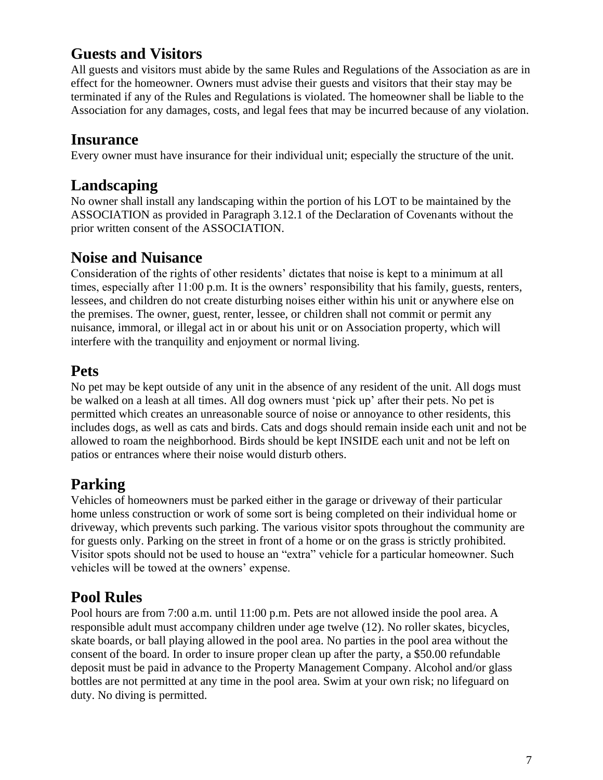#### **Guests and Visitors**

All guests and visitors must abide by the same Rules and Regulations of the Association as are in effect for the homeowner. Owners must advise their guests and visitors that their stay may be terminated if any of the Rules and Regulations is violated. The homeowner shall be liable to the Association for any damages, costs, and legal fees that may be incurred because of any violation.

#### **Insurance**

Every owner must have insurance for their individual unit; especially the structure of the unit.

# **Landscaping**

No owner shall install any landscaping within the portion of his LOT to be maintained by the ASSOCIATION as provided in Paragraph 3.12.1 of the Declaration of Covenants without the prior written consent of the ASSOCIATION.

#### **Noise and Nuisance**

Consideration of the rights of other residents' dictates that noise is kept to a minimum at all times, especially after 11:00 p.m. It is the owners' responsibility that his family, guests, renters, lessees, and children do not create disturbing noises either within his unit or anywhere else on the premises. The owner, guest, renter, lessee, or children shall not commit or permit any nuisance, immoral, or illegal act in or about his unit or on Association property, which will interfere with the tranquility and enjoyment or normal living.

#### **Pets**

No pet may be kept outside of any unit in the absence of any resident of the unit. All dogs must be walked on a leash at all times. All dog owners must 'pick up' after their pets. No pet is permitted which creates an unreasonable source of noise or annoyance to other residents, this includes dogs, as well as cats and birds. Cats and dogs should remain inside each unit and not be allowed to roam the neighborhood. Birds should be kept INSIDE each unit and not be left on patios or entrances where their noise would disturb others.

# **Parking**

Vehicles of homeowners must be parked either in the garage or driveway of their particular home unless construction or work of some sort is being completed on their individual home or driveway, which prevents such parking. The various visitor spots throughout the community are for guests only. Parking on the street in front of a home or on the grass is strictly prohibited. Visitor spots should not be used to house an "extra" vehicle for a particular homeowner. Such vehicles will be towed at the owners' expense.

# **Pool Rules**

Pool hours are from 7:00 a.m. until 11:00 p.m. Pets are not allowed inside the pool area. A responsible adult must accompany children under age twelve (12). No roller skates, bicycles, skate boards, or ball playing allowed in the pool area. No parties in the pool area without the consent of the board. In order to insure proper clean up after the party, a \$50.00 refundable deposit must be paid in advance to the Property Management Company. Alcohol and/or glass bottles are not permitted at any time in the pool area. Swim at your own risk; no lifeguard on duty. No diving is permitted.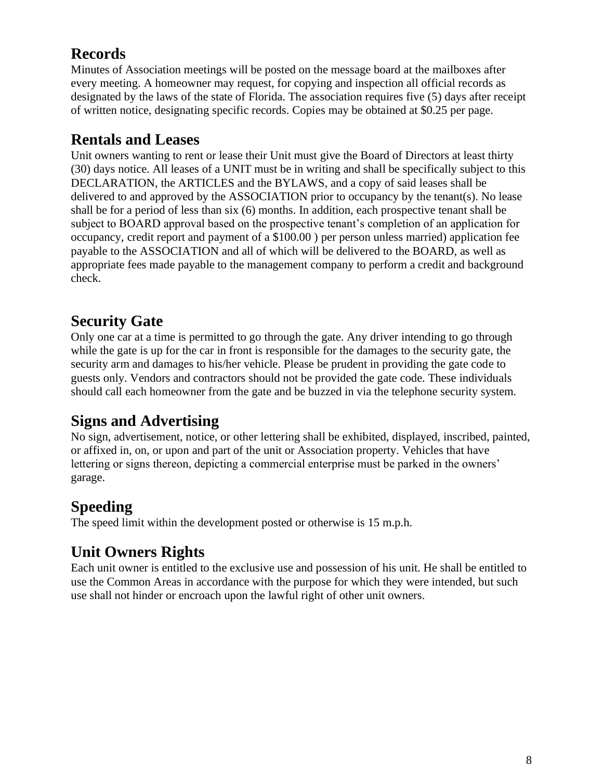# **Records**

Minutes of Association meetings will be posted on the message board at the mailboxes after every meeting. A homeowner may request, for copying and inspection all official records as designated by the laws of the state of Florida. The association requires five (5) days after receipt of written notice, designating specific records. Copies may be obtained at \$0.25 per page.

# **Rentals and Leases**

Unit owners wanting to rent or lease their Unit must give the Board of Directors at least thirty (30) days notice. All leases of a UNIT must be in writing and shall be specifically subject to this DECLARATION, the ARTICLES and the BYLAWS, and a copy of said leases shall be delivered to and approved by the ASSOCIATION prior to occupancy by the tenant(s). No lease shall be for a period of less than six (6) months. In addition, each prospective tenant shall be subject to BOARD approval based on the prospective tenant's completion of an application for occupancy, credit report and payment of a \$100.00 ) per person unless married) application fee payable to the ASSOCIATION and all of which will be delivered to the BOARD, as well as appropriate fees made payable to the management company to perform a credit and background check.

# **Security Gate**

Only one car at a time is permitted to go through the gate. Any driver intending to go through while the gate is up for the car in front is responsible for the damages to the security gate, the security arm and damages to his/her vehicle. Please be prudent in providing the gate code to guests only. Vendors and contractors should not be provided the gate code. These individuals should call each homeowner from the gate and be buzzed in via the telephone security system.

# **Signs and Advertising**

No sign, advertisement, notice, or other lettering shall be exhibited, displayed, inscribed, painted, or affixed in, on, or upon and part of the unit or Association property. Vehicles that have lettering or signs thereon, depicting a commercial enterprise must be parked in the owners' garage.

#### **Speeding**

The speed limit within the development posted or otherwise is 15 m.p.h.

# **Unit Owners Rights**

Each unit owner is entitled to the exclusive use and possession of his unit. He shall be entitled to use the Common Areas in accordance with the purpose for which they were intended, but such use shall not hinder or encroach upon the lawful right of other unit owners.